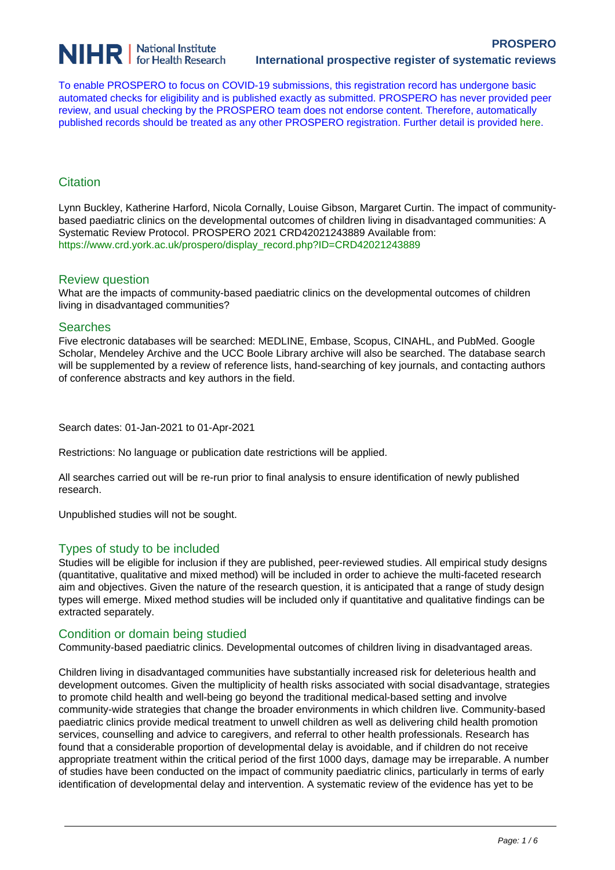

To enable PROSPERO to focus on COVID-19 submissions, this registration record has undergone basic automated checks for eligibility and is published exactly as submitted. PROSPERO has never provided peer review, and usual checking by the PROSPERO team does not endorse content. Therefore, automatically published records should be treated as any other PROSPERO registration. Further detail is provided [here.](https://www.crd.york.ac.uk/prospero/documents/PROSPEROLetterForAutoPublishJournalRejects.pdf)

# **Citation**

Lynn Buckley, Katherine Harford, Nicola Cornally, Louise Gibson, Margaret Curtin. The impact of communitybased paediatric clinics on the developmental outcomes of children living in disadvantaged communities: A Systematic Review Protocol. PROSPERO 2021 CRD42021243889 Available from: https://www.crd.york.ac.uk/prospero/display\_record.php?ID=CRD42021243889

# Review question

What are the impacts of community-based paediatric clinics on the developmental outcomes of children living in disadvantaged communities?

### **Searches**

Five electronic databases will be searched: MEDLINE, Embase, Scopus, CINAHL, and PubMed. Google Scholar, Mendeley Archive and the UCC Boole Library archive will also be searched. The database search will be supplemented by a review of reference lists, hand-searching of key journals, and contacting authors of conference abstracts and key authors in the field.

Search dates: 01-Jan-2021 to 01-Apr-2021

Restrictions: No language or publication date restrictions will be applied.

All searches carried out will be re-run prior to final analysis to ensure identification of newly published research.

Unpublished studies will not be sought.

# Types of study to be included

Studies will be eligible for inclusion if they are published, peer-reviewed studies. All empirical study designs (quantitative, qualitative and mixed method) will be included in order to achieve the multi-faceted research aim and objectives. Given the nature of the research question, it is anticipated that a range of study design types will emerge. Mixed method studies will be included only if quantitative and qualitative findings can be extracted separately.

### Condition or domain being studied

Community-based paediatric clinics. Developmental outcomes of children living in disadvantaged areas.

Children living in disadvantaged communities have substantially increased risk for deleterious health and development outcomes. Given the multiplicity of health risks associated with social disadvantage, strategies to promote child health and well-being go beyond the traditional medical-based setting and involve community-wide strategies that change the broader environments in which children live. Community-based paediatric clinics provide medical treatment to unwell children as well as delivering child health promotion services, counselling and advice to caregivers, and referral to other health professionals. Research has found that a considerable proportion of developmental delay is avoidable, and if children do not receive appropriate treatment within the critical period of the first 1000 days, damage may be irreparable. A number of studies have been conducted on the impact of community paediatric clinics, particularly in terms of early identification of developmental delay and intervention. A systematic review of the evidence has yet to be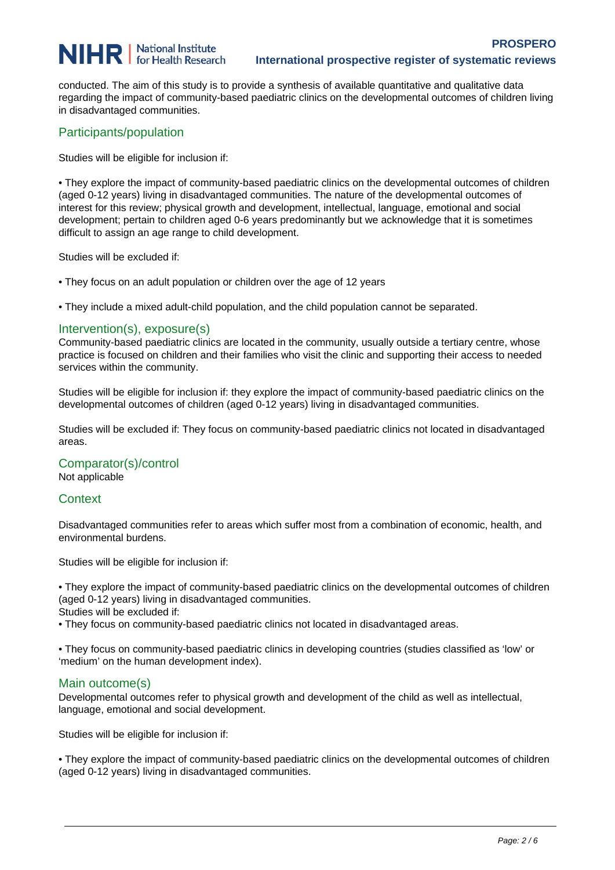# **NIHR** | National Institute

conducted. The aim of this study is to provide a synthesis of available quantitative and qualitative data regarding the impact of community-based paediatric clinics on the developmental outcomes of children living in disadvantaged communities.

# Participants/population

Studies will be eligible for inclusion if:

• They explore the impact of community-based paediatric clinics on the developmental outcomes of children (aged 0-12 years) living in disadvantaged communities. The nature of the developmental outcomes of interest for this review; physical growth and development, intellectual, language, emotional and social development; pertain to children aged 0-6 years predominantly but we acknowledge that it is sometimes difficult to assign an age range to child development.

Studies will be excluded if:

• They focus on an adult population or children over the age of 12 years

• They include a mixed adult-child population, and the child population cannot be separated.

# Intervention(s), exposure(s)

Community-based paediatric clinics are located in the community, usually outside a tertiary centre, whose practice is focused on children and their families who visit the clinic and supporting their access to needed services within the community.

Studies will be eligible for inclusion if: they explore the impact of community-based paediatric clinics on the developmental outcomes of children (aged 0-12 years) living in disadvantaged communities.

Studies will be excluded if: They focus on community-based paediatric clinics not located in disadvantaged areas.

# Comparator(s)/control

Not applicable

# **Context**

Disadvantaged communities refer to areas which suffer most from a combination of economic, health, and environmental burdens.

Studies will be eligible for inclusion if:

• They explore the impact of community-based paediatric clinics on the developmental outcomes of children (aged 0-12 years) living in disadvantaged communities.

Studies will be excluded if:

• They focus on community-based paediatric clinics not located in disadvantaged areas.

• They focus on community-based paediatric clinics in developing countries (studies classified as 'low' or 'medium' on the human development index).

### Main outcome(s)

Developmental outcomes refer to physical growth and development of the child as well as intellectual, language, emotional and social development.

Studies will be eligible for inclusion if:

• They explore the impact of community-based paediatric clinics on the developmental outcomes of children (aged 0-12 years) living in disadvantaged communities.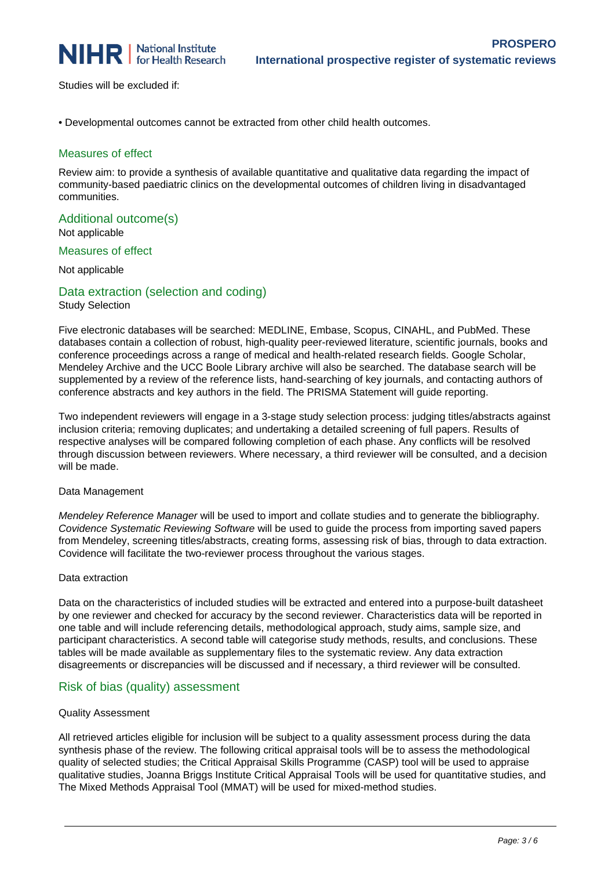

Studies will be excluded if:

• Developmental outcomes cannot be extracted from other child health outcomes.

### Measures of effect

Review aim: to provide a synthesis of available quantitative and qualitative data regarding the impact of community-based paediatric clinics on the developmental outcomes of children living in disadvantaged communities.

# Additional outcome(s)

Not applicable

Measures of effect

Not applicable

### Data extraction (selection and coding) Study Selection

Five electronic databases will be searched: MEDLINE, Embase, Scopus, CINAHL, and PubMed. These databases contain a collection of robust, high-quality peer-reviewed literature, scientific journals, books and conference proceedings across a range of medical and health-related research fields. Google Scholar, Mendeley Archive and the UCC Boole Library archive will also be searched. The database search will be supplemented by a review of the reference lists, hand-searching of key journals, and contacting authors of conference abstracts and key authors in the field. The PRISMA Statement will guide reporting.

Two independent reviewers will engage in a 3-stage study selection process: judging titles/abstracts against inclusion criteria; removing duplicates; and undertaking a detailed screening of full papers. Results of respective analyses will be compared following completion of each phase. Any conflicts will be resolved through discussion between reviewers. Where necessary, a third reviewer will be consulted, and a decision will be made.

### Data Management

Mendeley Reference Manager will be used to import and collate studies and to generate the bibliography. Covidence Systematic Reviewing Software will be used to guide the process from importing saved papers from Mendeley, screening titles/abstracts, creating forms, assessing risk of bias, through to data extraction. Covidence will facilitate the two-reviewer process throughout the various stages.

### Data extraction

Data on the characteristics of included studies will be extracted and entered into a purpose-built datasheet by one reviewer and checked for accuracy by the second reviewer. Characteristics data will be reported in one table and will include referencing details, methodological approach, study aims, sample size, and participant characteristics. A second table will categorise study methods, results, and conclusions. These tables will be made available as supplementary files to the systematic review. Any data extraction disagreements or discrepancies will be discussed and if necessary, a third reviewer will be consulted.

# Risk of bias (quality) assessment

### Quality Assessment

All retrieved articles eligible for inclusion will be subject to a quality assessment process during the data synthesis phase of the review. The following critical appraisal tools will be to assess the methodological quality of selected studies; the Critical Appraisal Skills Programme (CASP) tool will be used to appraise qualitative studies, Joanna Briggs Institute Critical Appraisal Tools will be used for quantitative studies, and The Mixed Methods Appraisal Tool (MMAT) will be used for mixed-method studies.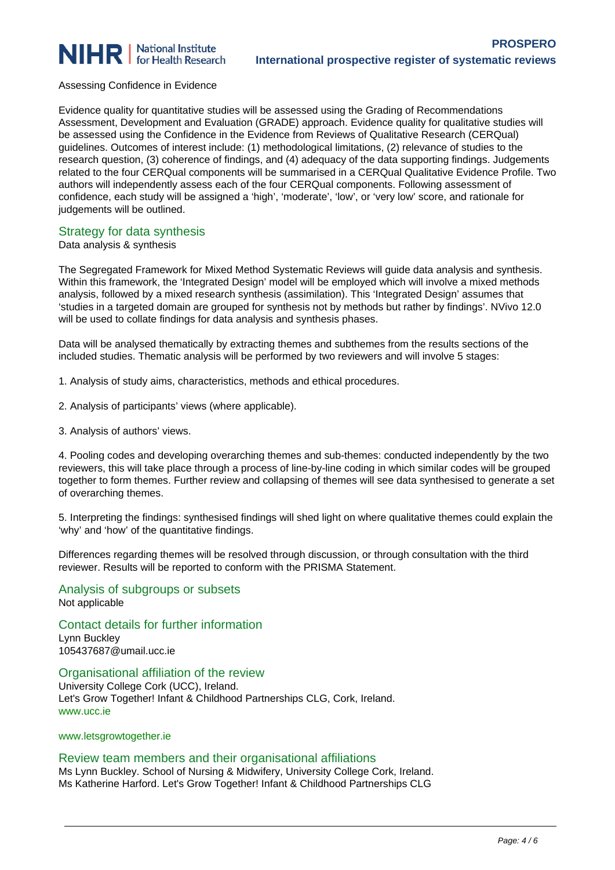

### Assessing Confidence in Evidence

Evidence quality for quantitative studies will be assessed using the Grading of Recommendations Assessment, Development and Evaluation (GRADE) approach. Evidence quality for qualitative studies will be assessed using the Confidence in the Evidence from Reviews of Qualitative Research (CERQual) guidelines. Outcomes of interest include: (1) methodological limitations, (2) relevance of studies to the research question, (3) coherence of findings, and (4) adequacy of the data supporting findings. Judgements related to the four CERQual components will be summarised in a CERQual Qualitative Evidence Profile. Two authors will independently assess each of the four CERQual components. Following assessment of confidence, each study will be assigned a 'high', 'moderate', 'low', or 'very low' score, and rationale for judgements will be outlined.

# Strategy for data synthesis

### Data analysis & synthesis

The Segregated Framework for Mixed Method Systematic Reviews will guide data analysis and synthesis. Within this framework, the 'Integrated Design' model will be employed which will involve a mixed methods analysis, followed by a mixed research synthesis (assimilation). This 'Integrated Design' assumes that 'studies in a targeted domain are grouped for synthesis not by methods but rather by findings'. NVivo 12.0 will be used to collate findings for data analysis and synthesis phases.

Data will be analysed thematically by extracting themes and subthemes from the results sections of the included studies. Thematic analysis will be performed by two reviewers and will involve 5 stages:

1. Analysis of study aims, characteristics, methods and ethical procedures.

- 2. Analysis of participants' views (where applicable).
- 3. Analysis of authors' views.

4. Pooling codes and developing overarching themes and sub-themes: conducted independently by the two reviewers, this will take place through a process of line-by-line coding in which similar codes will be grouped together to form themes. Further review and collapsing of themes will see data synthesised to generate a set of overarching themes.

5. Interpreting the findings: synthesised findings will shed light on where qualitative themes could explain the 'why' and 'how' of the quantitative findings.

Differences regarding themes will be resolved through discussion, or through consultation with the third reviewer. Results will be reported to conform with the PRISMA Statement.

Analysis of subgroups or subsets Not applicable

Contact details for further information

Lynn Buckley 105437687@umail.ucc.ie

Organisational affiliation of the review

University College Cork (UCC), Ireland. Let's Grow Together! Infant & Childhood Partnerships CLG, Cork, Ireland. www.ucc.ie

www.letsgrowtogether.ie

### Review team members and their organisational affiliations

Ms Lynn Buckley. School of Nursing & Midwifery, University College Cork, Ireland. Ms Katherine Harford. Let's Grow Together! Infant & Childhood Partnerships CLG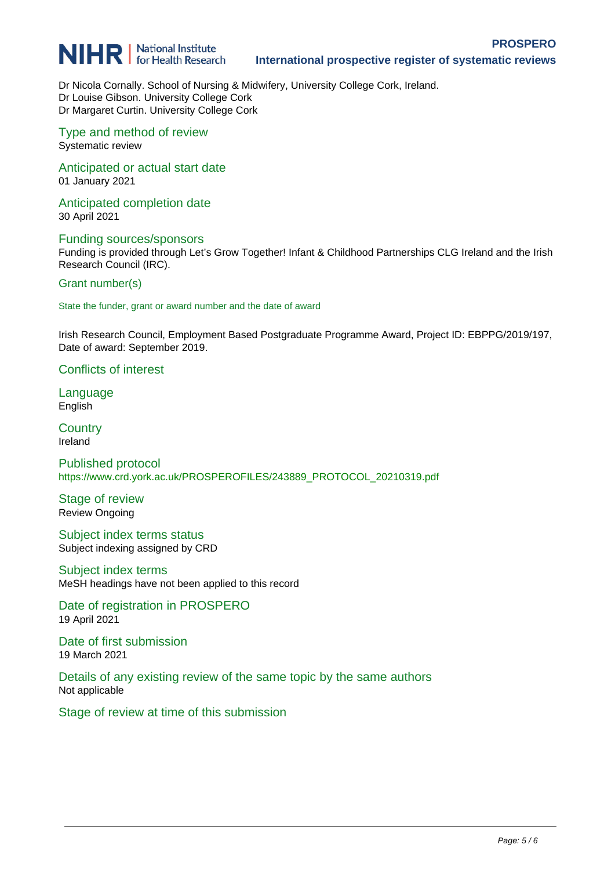

Dr Nicola Cornally. School of Nursing & Midwifery, University College Cork, Ireland. Dr Louise Gibson. University College Cork Dr Margaret Curtin. University College Cork

Type and method of review Systematic review

Anticipated or actual start date 01 January 2021

Anticipated completion date 30 April 2021

Funding sources/sponsors Funding is provided through Let's Grow Together! Infant & Childhood Partnerships CLG Ireland and the Irish Research Council (IRC).

Grant number(s)

State the funder, grant or award number and the date of award

Irish Research Council, Employment Based Postgraduate Programme Award, Project ID: EBPPG/2019/197, Date of award: September 2019.

Conflicts of interest

Language English

**Country** Ireland

Published protocol https://www.crd.york.ac.uk/PROSPEROFILES/243889\_PROTOCOL\_20210319.pdf

Stage of review Review Ongoing

Subject index terms status Subject indexing assigned by CRD

Subject index terms MeSH headings have not been applied to this record

Date of registration in PROSPERO 19 April 2021

Date of first submission 19 March 2021

Details of any existing review of the same topic by the same authors Not applicable

Stage of review at time of this submission